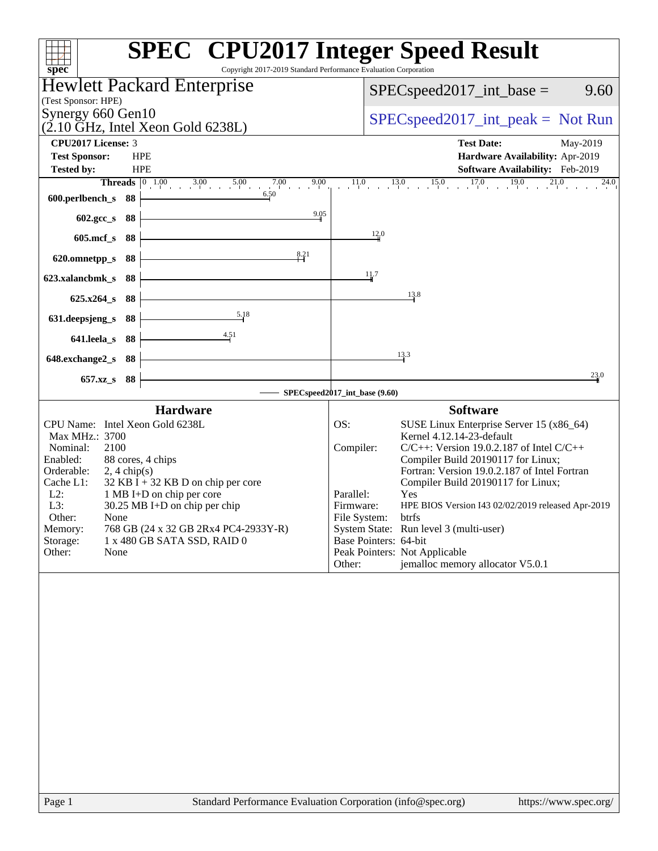| Copyright 2017-2019 Standard Performance Evaluation Corporation<br>spec <sup>®</sup>                                                                                                                                                                                                                                                                                                                                            | <b>SPEC<sup>®</sup></b> CPU2017 Integer Speed Result                                                                                                                                                                                                                                                                                                                                                                                                                                                                                                       |
|---------------------------------------------------------------------------------------------------------------------------------------------------------------------------------------------------------------------------------------------------------------------------------------------------------------------------------------------------------------------------------------------------------------------------------|------------------------------------------------------------------------------------------------------------------------------------------------------------------------------------------------------------------------------------------------------------------------------------------------------------------------------------------------------------------------------------------------------------------------------------------------------------------------------------------------------------------------------------------------------------|
| Hewlett Packard Enterprise                                                                                                                                                                                                                                                                                                                                                                                                      | $SPEC speed2017\_int\_base =$<br>9.60                                                                                                                                                                                                                                                                                                                                                                                                                                                                                                                      |
| (Test Sponsor: HPE)                                                                                                                                                                                                                                                                                                                                                                                                             |                                                                                                                                                                                                                                                                                                                                                                                                                                                                                                                                                            |
| Synergy 660 Gen10<br>$(2.10 \text{ GHz}, \text{Intel Xeon Gold } 6238L)$                                                                                                                                                                                                                                                                                                                                                        | $SPEC speed2017\_int\_peak = Not Run$                                                                                                                                                                                                                                                                                                                                                                                                                                                                                                                      |
| CPU2017 License: 3                                                                                                                                                                                                                                                                                                                                                                                                              | <b>Test Date:</b><br>May-2019                                                                                                                                                                                                                                                                                                                                                                                                                                                                                                                              |
| <b>Test Sponsor:</b><br><b>HPE</b>                                                                                                                                                                                                                                                                                                                                                                                              | Hardware Availability: Apr-2019                                                                                                                                                                                                                                                                                                                                                                                                                                                                                                                            |
| <b>Tested by:</b><br><b>HPE</b><br><b>Threads</b> $\begin{bmatrix} 0 & 1.00 \\ 1 & 0 \end{bmatrix}$ 3.00 5.00<br>$7.00$ 9.00<br>9.00                                                                                                                                                                                                                                                                                            | Software Availability: Feb-2019<br>$\frac{13.0}{1}$ $\frac{15.0}{1}$ $\frac{17.0}{1}$ $\frac{19.0}{1}$<br>21.0<br>11.0<br>24.0                                                                                                                                                                                                                                                                                                                                                                                                                             |
| 6.50<br>600.perlbench_s<br>88                                                                                                                                                                                                                                                                                                                                                                                                   |                                                                                                                                                                                                                                                                                                                                                                                                                                                                                                                                                            |
| 9.05<br>602.gcc_s<br>88                                                                                                                                                                                                                                                                                                                                                                                                         |                                                                                                                                                                                                                                                                                                                                                                                                                                                                                                                                                            |
| $605$ .mcf_s<br>88                                                                                                                                                                                                                                                                                                                                                                                                              | 12.0                                                                                                                                                                                                                                                                                                                                                                                                                                                                                                                                                       |
| 8.21<br>620.omnetpp_s<br>88                                                                                                                                                                                                                                                                                                                                                                                                     |                                                                                                                                                                                                                                                                                                                                                                                                                                                                                                                                                            |
| 88<br>623.xalancbmk s                                                                                                                                                                                                                                                                                                                                                                                                           | 11.7                                                                                                                                                                                                                                                                                                                                                                                                                                                                                                                                                       |
| 88<br>$625.x264_s$                                                                                                                                                                                                                                                                                                                                                                                                              | 13.8                                                                                                                                                                                                                                                                                                                                                                                                                                                                                                                                                       |
| 5.18<br>631.deepsjeng_s<br>88                                                                                                                                                                                                                                                                                                                                                                                                   |                                                                                                                                                                                                                                                                                                                                                                                                                                                                                                                                                            |
| <u>4.51</u><br>641.leela_s<br>88                                                                                                                                                                                                                                                                                                                                                                                                |                                                                                                                                                                                                                                                                                                                                                                                                                                                                                                                                                            |
| 648.exchange2_s<br>88                                                                                                                                                                                                                                                                                                                                                                                                           | 13.3                                                                                                                                                                                                                                                                                                                                                                                                                                                                                                                                                       |
| 88<br>$657.xz$ <sub>S</sub>                                                                                                                                                                                                                                                                                                                                                                                                     | 23.0                                                                                                                                                                                                                                                                                                                                                                                                                                                                                                                                                       |
|                                                                                                                                                                                                                                                                                                                                                                                                                                 | SPECspeed2017_int_base (9.60)                                                                                                                                                                                                                                                                                                                                                                                                                                                                                                                              |
| <b>Hardware</b><br>CPU Name: Intel Xeon Gold 6238L<br>Max MHz.: 3700<br>2100<br>Nominal:<br>88 cores, 4 chips<br>Enabled:<br>Orderable:<br>$2, 4$ chip(s)<br>Cache L1:<br>$32$ KB I + 32 KB D on chip per core<br>$L2$ :<br>1 MB I+D on chip per core<br>L3:<br>30.25 MB I+D on chip per chip<br>Other:<br>None<br>Memory:<br>768 GB (24 x 32 GB 2Rx4 PC4-2933Y-R)<br>Storage:<br>1 x 480 GB SATA SSD, RAID 0<br>None<br>Other: | <b>Software</b><br>OS:<br>SUSE Linux Enterprise Server 15 (x86_64)<br>Kernel 4.12.14-23-default<br>Compiler:<br>$C/C++$ : Version 19.0.2.187 of Intel $C/C++$<br>Compiler Build 20190117 for Linux;<br>Fortran: Version 19.0.2.187 of Intel Fortran<br>Compiler Build 20190117 for Linux;<br>Parallel:<br>Yes<br>Firmware:<br>HPE BIOS Version I43 02/02/2019 released Apr-2019<br>File System:<br>btrfs<br>System State: Run level 3 (multi-user)<br>Base Pointers: 64-bit<br>Peak Pointers: Not Applicable<br>jemalloc memory allocator V5.0.1<br>Other: |
|                                                                                                                                                                                                                                                                                                                                                                                                                                 |                                                                                                                                                                                                                                                                                                                                                                                                                                                                                                                                                            |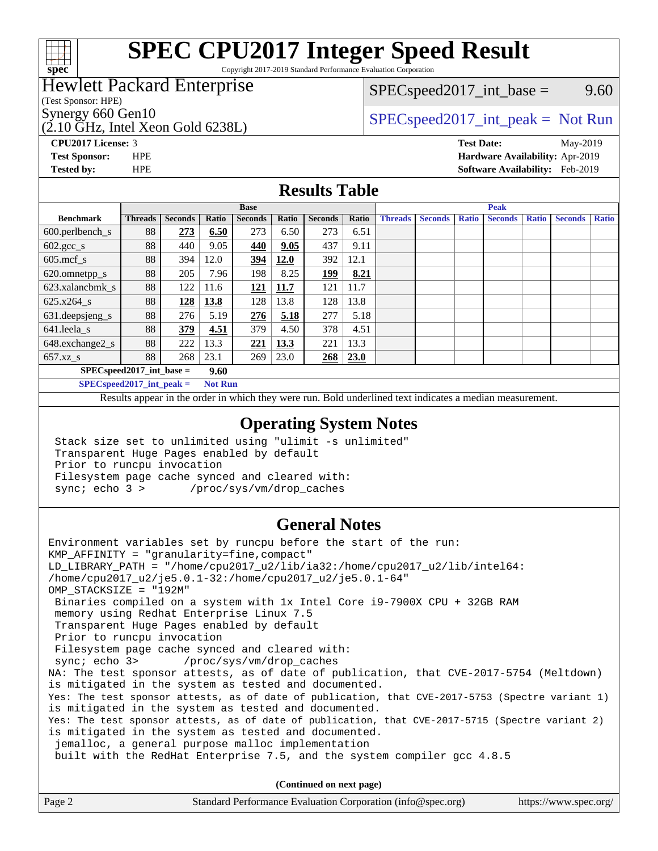

Copyright 2017-2019 Standard Performance Evaluation Corporation

### Hewlett Packard Enterprise

(Test Sponsor: HPE)

(2.10 GHz, Intel Xeon Gold 6238L)

 $SPEC speed2017\_int\_base =$  9.60

### Synergy 660 Gen10<br>  $SPEC speed2017\_int\_peak = Not Run$

**[CPU2017 License:](http://www.spec.org/auto/cpu2017/Docs/result-fields.html#CPU2017License)** 3 **[Test Date:](http://www.spec.org/auto/cpu2017/Docs/result-fields.html#TestDate)** May-2019 **[Test Sponsor:](http://www.spec.org/auto/cpu2017/Docs/result-fields.html#TestSponsor)** HPE **[Hardware Availability:](http://www.spec.org/auto/cpu2017/Docs/result-fields.html#HardwareAvailability)** Apr-2019 **[Tested by:](http://www.spec.org/auto/cpu2017/Docs/result-fields.html#Testedby)** HPE **[Software Availability:](http://www.spec.org/auto/cpu2017/Docs/result-fields.html#SoftwareAvailability)** Feb-2019

#### **[Results Table](http://www.spec.org/auto/cpu2017/Docs/result-fields.html#ResultsTable)**

|                               | <b>Base</b>                        |                |       |                |       |                | <b>Peak</b> |                |                |              |                |              |                |              |
|-------------------------------|------------------------------------|----------------|-------|----------------|-------|----------------|-------------|----------------|----------------|--------------|----------------|--------------|----------------|--------------|
| <b>Benchmark</b>              | <b>Threads</b>                     | <b>Seconds</b> | Ratio | <b>Seconds</b> | Ratio | <b>Seconds</b> | Ratio       | <b>Threads</b> | <b>Seconds</b> | <b>Ratio</b> | <b>Seconds</b> | <b>Ratio</b> | <b>Seconds</b> | <b>Ratio</b> |
| $600.$ perlbench $\mathsf{S}$ | 88                                 | 273            | 6.50  | 273            | 6.50  | 273            | 6.51        |                |                |              |                |              |                |              |
| $602.\text{gcc}\_\text{s}$    | 88                                 | 440            | 9.05  | 440            | 9.05  | 437            | 9.11        |                |                |              |                |              |                |              |
| $605$ .mcf s                  | 88                                 | 394            | 12.0  | 394            | 12.0  | 392            | 12.1        |                |                |              |                |              |                |              |
| 620.omnetpp_s                 | 88                                 | 205            | 7.96  | 198            | 8.25  | <u>199</u>     | 8.21        |                |                |              |                |              |                |              |
| 623.xalancbmk s               | 88                                 | 122            | 11.6  | 121            | 11.7  | 121            | 11.7        |                |                |              |                |              |                |              |
| 625.x264 s                    | 88                                 | 128            | 13.8  | 128            | 13.8  | 128            | 13.8        |                |                |              |                |              |                |              |
| 631.deepsjeng_s               | 88                                 | 276            | 5.19  | 276            | 5.18  | 277            | 5.18        |                |                |              |                |              |                |              |
| 641.leela s                   | 88                                 | 379            | 4.51  | 379            | 4.50  | 378            | 4.51        |                |                |              |                |              |                |              |
| 648.exchange2_s               | 88                                 | 222            | 13.3  | 221            | 13.3  | 221            | 13.3        |                |                |              |                |              |                |              |
| 657.xz s                      | 88                                 | 268            | 23.1  | 269            | 23.0  | 268            | 23.0        |                |                |              |                |              |                |              |
|                               | $SPECspeed2017$ int base =<br>9.60 |                |       |                |       |                |             |                |                |              |                |              |                |              |

**[SPECspeed2017\\_int\\_peak =](http://www.spec.org/auto/cpu2017/Docs/result-fields.html#SPECspeed2017intpeak) Not Run**

Results appear in the [order in which they were run.](http://www.spec.org/auto/cpu2017/Docs/result-fields.html#RunOrder) Bold underlined text [indicates a median measurement.](http://www.spec.org/auto/cpu2017/Docs/result-fields.html#Median)

#### **[Operating System Notes](http://www.spec.org/auto/cpu2017/Docs/result-fields.html#OperatingSystemNotes)**

 Stack size set to unlimited using "ulimit -s unlimited" Transparent Huge Pages enabled by default Prior to runcpu invocation Filesystem page cache synced and cleared with: sync; echo 3 > /proc/sys/vm/drop\_caches

#### **[General Notes](http://www.spec.org/auto/cpu2017/Docs/result-fields.html#GeneralNotes)**

Environment variables set by runcpu before the start of the run: KMP\_AFFINITY = "granularity=fine,compact" LD\_LIBRARY\_PATH = "/home/cpu2017\_u2/lib/ia32:/home/cpu2017\_u2/lib/intel64: /home/cpu2017\_u2/je5.0.1-32:/home/cpu2017\_u2/je5.0.1-64" OMP\_STACKSIZE = "192M" Binaries compiled on a system with 1x Intel Core i9-7900X CPU + 32GB RAM memory using Redhat Enterprise Linux 7.5 Transparent Huge Pages enabled by default Prior to runcpu invocation Filesystem page cache synced and cleared with: sync; echo 3> /proc/sys/vm/drop\_caches NA: The test sponsor attests, as of date of publication, that CVE-2017-5754 (Meltdown) is mitigated in the system as tested and documented. Yes: The test sponsor attests, as of date of publication, that CVE-2017-5753 (Spectre variant 1) is mitigated in the system as tested and documented. Yes: The test sponsor attests, as of date of publication, that CVE-2017-5715 (Spectre variant 2) is mitigated in the system as tested and documented. jemalloc, a general purpose malloc implementation built with the RedHat Enterprise 7.5, and the system compiler gcc 4.8.5 **(Continued on next page)**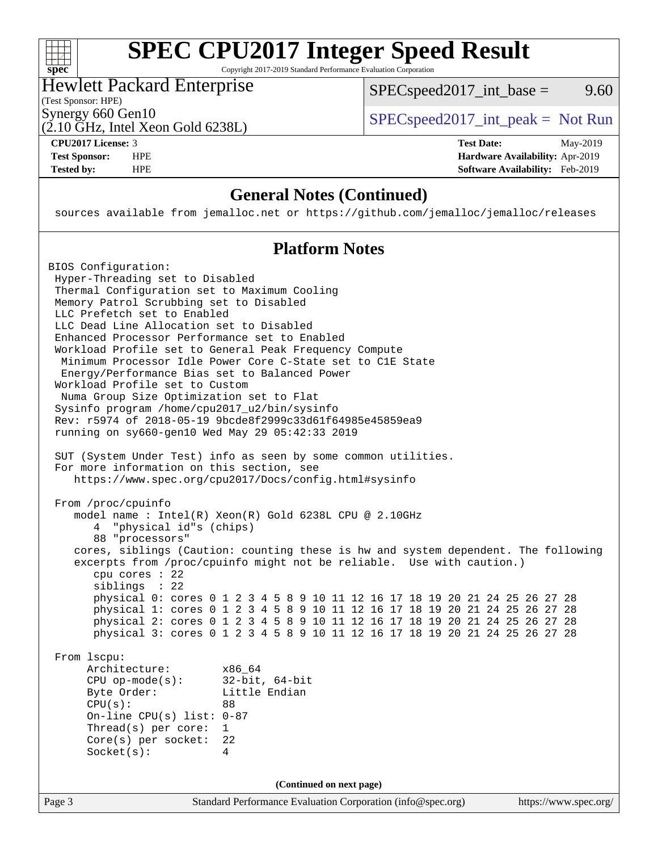| S<br>اق<br>E<br>Π |  |  |  |  |
|-------------------|--|--|--|--|

Copyright 2017-2019 Standard Performance Evaluation Corporation

#### Hewlett Packard Enterprise

(2.10 GHz, Intel Xeon Gold 6238L)

 $SPEC speed2017\_int\_base =$  9.60

(Test Sponsor: HPE)

Synergy 660 Gen10  $SPEC speed2017\_int\_peak = Not Run$ 

**[CPU2017 License:](http://www.spec.org/auto/cpu2017/Docs/result-fields.html#CPU2017License)** 3 **[Test Date:](http://www.spec.org/auto/cpu2017/Docs/result-fields.html#TestDate)** May-2019 **[Test Sponsor:](http://www.spec.org/auto/cpu2017/Docs/result-fields.html#TestSponsor)** HPE **[Hardware Availability:](http://www.spec.org/auto/cpu2017/Docs/result-fields.html#HardwareAvailability)** Apr-2019 **[Tested by:](http://www.spec.org/auto/cpu2017/Docs/result-fields.html#Testedby)** HPE **[Software Availability:](http://www.spec.org/auto/cpu2017/Docs/result-fields.html#SoftwareAvailability)** Feb-2019

#### **[General Notes \(Continued\)](http://www.spec.org/auto/cpu2017/Docs/result-fields.html#GeneralNotes)**

sources available from jemalloc.net or <https://github.com/jemalloc/jemalloc/releases>

#### **[Platform Notes](http://www.spec.org/auto/cpu2017/Docs/result-fields.html#PlatformNotes)**

Page 3 Standard Performance Evaluation Corporation [\(info@spec.org\)](mailto:info@spec.org) <https://www.spec.org/> BIOS Configuration: Hyper-Threading set to Disabled Thermal Configuration set to Maximum Cooling Memory Patrol Scrubbing set to Disabled LLC Prefetch set to Enabled LLC Dead Line Allocation set to Disabled Enhanced Processor Performance set to Enabled Workload Profile set to General Peak Frequency Compute Minimum Processor Idle Power Core C-State set to C1E State Energy/Performance Bias set to Balanced Power Workload Profile set to Custom Numa Group Size Optimization set to Flat Sysinfo program /home/cpu2017\_u2/bin/sysinfo Rev: r5974 of 2018-05-19 9bcde8f2999c33d61f64985e45859ea9 running on sy660-gen10 Wed May 29 05:42:33 2019 SUT (System Under Test) info as seen by some common utilities. For more information on this section, see <https://www.spec.org/cpu2017/Docs/config.html#sysinfo> From /proc/cpuinfo model name : Intel(R) Xeon(R) Gold 6238L CPU @ 2.10GHz 4 "physical id"s (chips) 88 "processors" cores, siblings (Caution: counting these is hw and system dependent. The following excerpts from /proc/cpuinfo might not be reliable. Use with caution.) cpu cores : 22 siblings : 22 physical 0: cores 0 1 2 3 4 5 8 9 10 11 12 16 17 18 19 20 21 24 25 26 27 28 physical 1: cores 0 1 2 3 4 5 8 9 10 11 12 16 17 18 19 20 21 24 25 26 27 28 physical 2: cores 0 1 2 3 4 5 8 9 10 11 12 16 17 18 19 20 21 24 25 26 27 28 physical 3: cores 0 1 2 3 4 5 8 9 10 11 12 16 17 18 19 20 21 24 25 26 27 28 From lscpu: Architecture: x86\_64 CPU op-mode(s): 32-bit, 64-bit Byte Order: Little Endian CPU(s): 88 On-line CPU(s) list: 0-87 Thread(s) per core: 1 Core(s) per socket: 22 Socket(s): 4 **(Continued on next page)**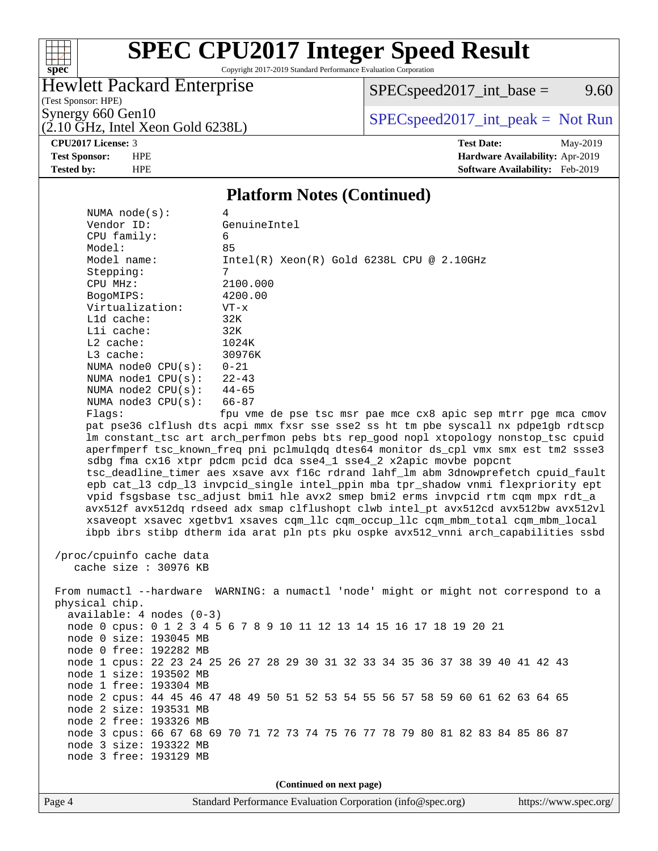

Copyright 2017-2019 Standard Performance Evaluation Corporation

### Hewlett Packard Enterprise

 $SPECspeed2017\_int\_base =$  9.60

(Test Sponsor: HPE)

 $(2.10 \text{ GHz}, \text{Intel Xeon Gold } 6238L)$ 

Synergy 660 Gen10<br>  $SPEC speed2017\_int\_peak = Not Run$ 

**[CPU2017 License:](http://www.spec.org/auto/cpu2017/Docs/result-fields.html#CPU2017License)** 3 **[Test Date:](http://www.spec.org/auto/cpu2017/Docs/result-fields.html#TestDate)** May-2019 **[Test Sponsor:](http://www.spec.org/auto/cpu2017/Docs/result-fields.html#TestSponsor)** HPE **[Hardware Availability:](http://www.spec.org/auto/cpu2017/Docs/result-fields.html#HardwareAvailability)** Apr-2019 **[Tested by:](http://www.spec.org/auto/cpu2017/Docs/result-fields.html#Testedby)** HPE **[Software Availability:](http://www.spec.org/auto/cpu2017/Docs/result-fields.html#SoftwareAvailability)** Feb-2019

#### **[Platform Notes \(Continued\)](http://www.spec.org/auto/cpu2017/Docs/result-fields.html#PlatformNotes)**

| NUMA $node(s)$ :           | 4                                                                                    |
|----------------------------|--------------------------------------------------------------------------------------|
| Vendor ID:                 | GenuineIntel                                                                         |
| CPU family:                | 6                                                                                    |
| Model:                     | 85                                                                                   |
| Model name:                | $Intel(R)$ Xeon $(R)$ Gold 6238L CPU @ 2.10GHz                                       |
| Stepping:                  | 7                                                                                    |
| CPU MHz:                   | 2100.000                                                                             |
| BogoMIPS:                  | 4200.00                                                                              |
| Virtualization:            | $VT - x$                                                                             |
| L1d cache:                 | 32K                                                                                  |
| Lli cache:                 | 32K                                                                                  |
| L2 cache:                  | 1024K                                                                                |
| L3 cache:                  | 30976K                                                                               |
| NUMA $node0$ $CPU(s):$     | $0 - 21$                                                                             |
| NUMA $node1$ $CPU(s):$     | $22 - 43$                                                                            |
| NUMA $node2$ $CPU(s):$     | $44 - 65$                                                                            |
| NUMA node3 CPU(s):         | 66-87                                                                                |
| Flags:                     | fpu vme de pse tsc msr pae mce cx8 apic sep mtrr pge mca cmov                        |
|                            | pat pse36 clflush dts acpi mmx fxsr sse sse2 ss ht tm pbe syscall nx pdpe1gb rdtscp  |
|                            | lm constant_tsc art arch_perfmon pebs bts rep_good nopl xtopology nonstop_tsc cpuid  |
|                            | aperfmperf tsc_known_freq pni pclmulqdq dtes64 monitor ds_cpl vmx smx est tm2 ssse3  |
|                            | sdbg fma cx16 xtpr pdcm pcid dca sse4_1 sse4_2 x2apic movbe popcnt                   |
|                            | tsc_deadline_timer aes xsave avx f16c rdrand lahf_lm abm 3dnowprefetch cpuid_fault   |
|                            | epb cat_13 cdp_13 invpcid_single intel_ppin mba tpr_shadow vnmi flexpriority ept     |
|                            | vpid fsgsbase tsc_adjust bmil hle avx2 smep bmi2 erms invpcid rtm cqm mpx rdt_a      |
|                            | avx512f avx512dq rdseed adx smap clflushopt clwb intel_pt avx512cd avx512bw avx512vl |
|                            | xsaveopt xsavec xqetbvl xsaves cqm llc cqm occup llc cqm mbm total cqm mbm local     |
|                            | ibpb ibrs stibp dtherm ida arat pln pts pku ospke avx512_vnni arch_capabilities ssbd |
|                            |                                                                                      |
| /proc/cpuinfo cache data   |                                                                                      |
| cache size : 30976 KB      |                                                                                      |
|                            |                                                                                      |
|                            | From numactl --hardware WARNING: a numactl 'node' might or might not correspond to a |
| physical chip.             |                                                                                      |
| $available: 4 nodes (0-3)$ |                                                                                      |
|                            | node 0 cpus: 0 1 2 3 4 5 6 7 8 9 10 11 12 13 14 15 16 17 18 19 20 21                 |
| node 0 size: 193045 MB     |                                                                                      |
| node 0 free: 192282 MB     |                                                                                      |
|                            | node 1 cpus: 22 23 24 25 26 27 28 29 30 31 32 33 34 35 36 37 38 39 40 41 42 43       |
| node 1 size: 193502 MB     |                                                                                      |
| node 1 free: 193304 MB     |                                                                                      |
|                            | node 2 cpus: 44 45 46 47 48 49 50 51 52 53 54 55 56 57 58 59 60 61 62 63 64 65       |
| node 2 size: 193531 MB     |                                                                                      |
| node 2 free: 193326 MB     |                                                                                      |
|                            | node 3 cpus: 66 67 68 69 70 71 72 73 74 75 76 77 78 79 80 81 82 83 84 85 86 87       |
| node 3 size: 193322 MB     |                                                                                      |
| node 3 free: 193129 MB     |                                                                                      |
|                            |                                                                                      |
|                            | (Continued on next page)                                                             |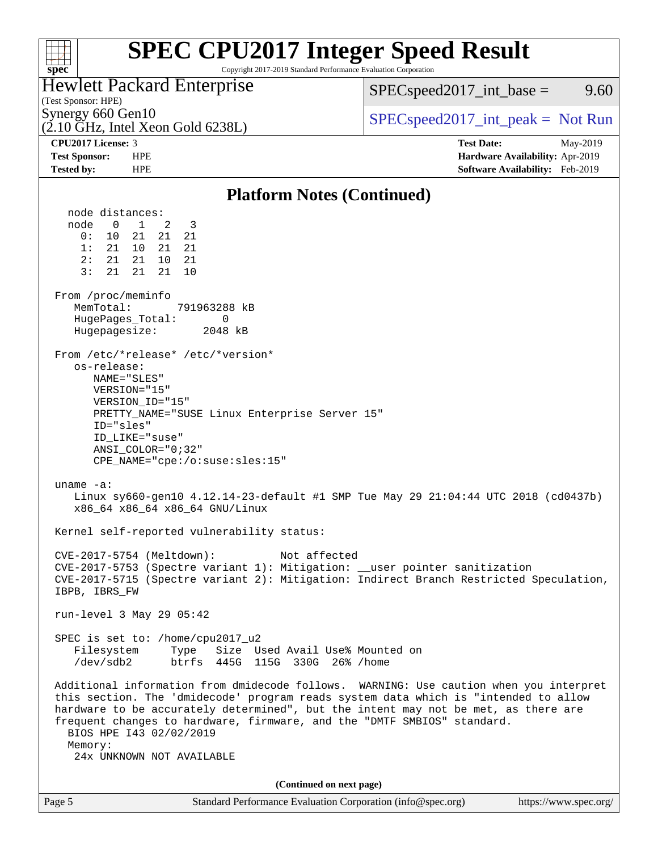| <b>SPEC CPU2017 Integer Speed Result</b><br>Copyright 2017-2019 Standard Performance Evaluation Corporation<br>spec <sup>®</sup>                                                                                                                                                                                                                                                                                                                                                                                                                                                                                                                                                                                                                                                                                                                                                                                                                                                                                                                                                                                                                                                                                                                                                                                                                                                                                                                                                                                                                                       |                                                                    |
|------------------------------------------------------------------------------------------------------------------------------------------------------------------------------------------------------------------------------------------------------------------------------------------------------------------------------------------------------------------------------------------------------------------------------------------------------------------------------------------------------------------------------------------------------------------------------------------------------------------------------------------------------------------------------------------------------------------------------------------------------------------------------------------------------------------------------------------------------------------------------------------------------------------------------------------------------------------------------------------------------------------------------------------------------------------------------------------------------------------------------------------------------------------------------------------------------------------------------------------------------------------------------------------------------------------------------------------------------------------------------------------------------------------------------------------------------------------------------------------------------------------------------------------------------------------------|--------------------------------------------------------------------|
| <b>Hewlett Packard Enterprise</b><br>(Test Sponsor: HPE)                                                                                                                                                                                                                                                                                                                                                                                                                                                                                                                                                                                                                                                                                                                                                                                                                                                                                                                                                                                                                                                                                                                                                                                                                                                                                                                                                                                                                                                                                                               | $SPEC speed2017\_int\_base =$<br>9.60                              |
| Synergy 660 Gen10<br>$(2.10 \text{ GHz}, \text{Intel Xeon Gold } 6238L)$                                                                                                                                                                                                                                                                                                                                                                                                                                                                                                                                                                                                                                                                                                                                                                                                                                                                                                                                                                                                                                                                                                                                                                                                                                                                                                                                                                                                                                                                                               | $SPEC speed2017\_int\_peak = Not Run$                              |
| CPU2017 License: 3                                                                                                                                                                                                                                                                                                                                                                                                                                                                                                                                                                                                                                                                                                                                                                                                                                                                                                                                                                                                                                                                                                                                                                                                                                                                                                                                                                                                                                                                                                                                                     | <b>Test Date:</b><br>May-2019                                      |
| <b>Test Sponsor:</b><br><b>HPE</b><br><b>HPE</b><br><b>Tested by:</b>                                                                                                                                                                                                                                                                                                                                                                                                                                                                                                                                                                                                                                                                                                                                                                                                                                                                                                                                                                                                                                                                                                                                                                                                                                                                                                                                                                                                                                                                                                  | Hardware Availability: Apr-2019<br>Software Availability: Feb-2019 |
| <b>Platform Notes (Continued)</b>                                                                                                                                                                                                                                                                                                                                                                                                                                                                                                                                                                                                                                                                                                                                                                                                                                                                                                                                                                                                                                                                                                                                                                                                                                                                                                                                                                                                                                                                                                                                      |                                                                    |
| node distances:<br>node<br>$\mathbf 0$<br>1<br>2<br>3<br>0:<br>21<br>21<br>10<br>21<br>21<br>1:<br>21<br>21<br>10<br>2:<br>21<br>21<br>10 <sup>°</sup><br>21<br>3:<br>21<br>21<br>21<br>10<br>From /proc/meminfo<br>MemTotal:<br>791963288 kB<br>HugePages_Total:<br>0<br>Hugepagesize:<br>2048 kB<br>From /etc/*release* /etc/*version*<br>os-release:<br>NAME="SLES"<br>VERSION="15"<br>VERSION_ID="15"<br>PRETTY_NAME="SUSE Linux Enterprise Server 15"<br>ID="sles"<br>ID LIKE="suse"<br>$ANSI$ _COLOR="0;32"<br>CPE_NAME="cpe:/o:suse:sles:15"<br>uname $-a$ :<br>Linux sy660-gen10 4.12.14-23-default #1 SMP Tue May 29 21:04:44 UTC 2018 (cd0437b)<br>x86_64 x86_64 x86_64 GNU/Linux<br>Kernel self-reported vulnerability status:<br>CVE-2017-5754 (Meltdown):<br>Not affected<br>CVE-2017-5753 (Spectre variant 1): Mitigation: __user pointer sanitization<br>CVE-2017-5715 (Spectre variant 2): Mitigation: Indirect Branch Restricted Speculation,<br>IBPB, IBRS_FW<br>run-level 3 May 29 05:42<br>SPEC is set to: /home/cpu2017_u2<br>Type Size Used Avail Use% Mounted on<br>Filesystem<br>/dev/sdb2 btrfs 445G 115G 330G 26% /home<br>Additional information from dmidecode follows. WARNING: Use caution when you interpret<br>this section. The 'dmidecode' program reads system data which is "intended to allow<br>hardware to be accurately determined", but the intent may not be met, as there are<br>frequent changes to hardware, firmware, and the "DMTF SMBIOS" standard.<br>BIOS HPE 143 02/02/2019<br>Memory:<br>24x UNKNOWN NOT AVAILABLE |                                                                    |
|                                                                                                                                                                                                                                                                                                                                                                                                                                                                                                                                                                                                                                                                                                                                                                                                                                                                                                                                                                                                                                                                                                                                                                                                                                                                                                                                                                                                                                                                                                                                                                        |                                                                    |
| (Continued on next page)                                                                                                                                                                                                                                                                                                                                                                                                                                                                                                                                                                                                                                                                                                                                                                                                                                                                                                                                                                                                                                                                                                                                                                                                                                                                                                                                                                                                                                                                                                                                               |                                                                    |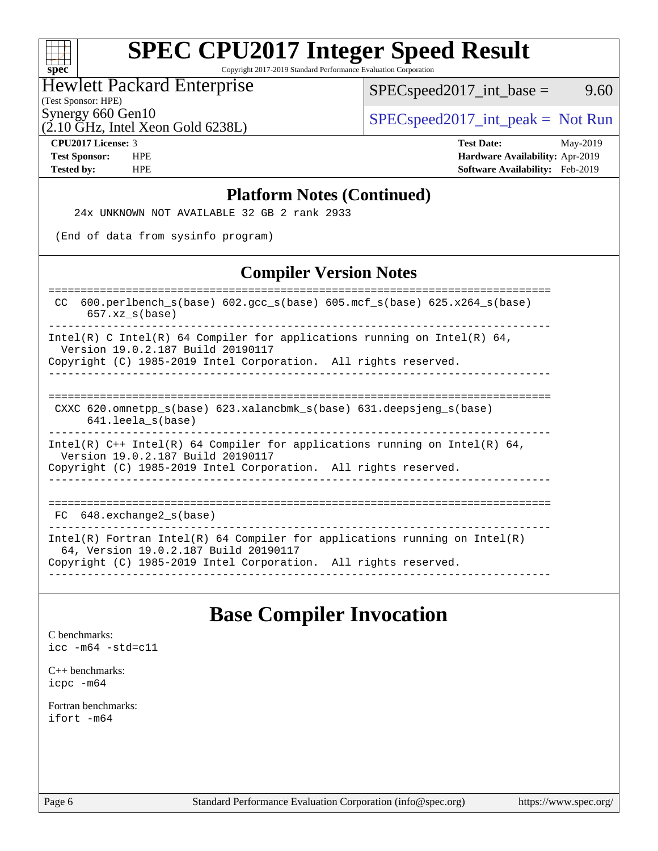| S <sub>1</sub><br>U<br>æ<br>Ľ |  |  |  |  |  |
|-------------------------------|--|--|--|--|--|

Copyright 2017-2019 Standard Performance Evaluation Corporation

#### Hewlett Packard Enterprise

 $(2.10 \text{ GHz}, \text{Intel Xeon Gold } 6238L)$ 

 $SPEC speed2017\_int\_base =$  9.60

(Test Sponsor: HPE)

Synergy 660 Gen10  $SPEC speed2017\_int\_peak = Not Run$ 

**[CPU2017 License:](http://www.spec.org/auto/cpu2017/Docs/result-fields.html#CPU2017License)** 3 **[Test Date:](http://www.spec.org/auto/cpu2017/Docs/result-fields.html#TestDate)** May-2019 **[Test Sponsor:](http://www.spec.org/auto/cpu2017/Docs/result-fields.html#TestSponsor)** HPE **[Hardware Availability:](http://www.spec.org/auto/cpu2017/Docs/result-fields.html#HardwareAvailability)** Apr-2019 **[Tested by:](http://www.spec.org/auto/cpu2017/Docs/result-fields.html#Testedby)** HPE **[Software Availability:](http://www.spec.org/auto/cpu2017/Docs/result-fields.html#SoftwareAvailability)** Feb-2019

#### **[Platform Notes \(Continued\)](http://www.spec.org/auto/cpu2017/Docs/result-fields.html#PlatformNotes)**

24x UNKNOWN NOT AVAILABLE 32 GB 2 rank 2933

(End of data from sysinfo program)

#### **[Compiler Version Notes](http://www.spec.org/auto/cpu2017/Docs/result-fields.html#CompilerVersionNotes)**

============================================================================== CC 600.perlbench\_s(base) 602.gcc\_s(base) 605.mcf\_s(base) 625.x264\_s(base) 657.xz\_s(base) ------------------------------------------------------------------------------ Intel(R) C Intel(R) 64 Compiler for applications running on Intel(R)  $64$ , Version 19.0.2.187 Build 20190117 Copyright (C) 1985-2019 Intel Corporation. All rights reserved.

------------------------------------------------------------------------------

#### ============================================================================== CXXC 620.omnetpp\_s(base) 623.xalancbmk\_s(base) 631.deepsjeng\_s(base) 641.leela\_s(base)

------------------------------------------------------------------------------ Intel(R) C++ Intel(R) 64 Compiler for applications running on Intel(R) 64, Version 19.0.2.187 Build 20190117 Copyright (C) 1985-2019 Intel Corporation. All rights reserved.

------------------------------------------------------------------------------

#### ==============================================================================

 FC 648.exchange2\_s(base) ------------------------------------------------------------------------------

Intel(R) Fortran Intel(R) 64 Compiler for applications running on Intel(R) 64, Version 19.0.2.187 Build 20190117 Copyright (C) 1985-2019 Intel Corporation. All rights reserved. ------------------------------------------------------------------------------

### **[Base Compiler Invocation](http://www.spec.org/auto/cpu2017/Docs/result-fields.html#BaseCompilerInvocation)**

[C benchmarks](http://www.spec.org/auto/cpu2017/Docs/result-fields.html#Cbenchmarks): [icc -m64 -std=c11](http://www.spec.org/cpu2017/results/res2019q3/cpu2017-20190625-15838.flags.html#user_CCbase_intel_icc_64bit_c11_33ee0cdaae7deeeab2a9725423ba97205ce30f63b9926c2519791662299b76a0318f32ddfffdc46587804de3178b4f9328c46fa7c2b0cd779d7a61945c91cd35)

[C++ benchmarks:](http://www.spec.org/auto/cpu2017/Docs/result-fields.html#CXXbenchmarks) [icpc -m64](http://www.spec.org/cpu2017/results/res2019q3/cpu2017-20190625-15838.flags.html#user_CXXbase_intel_icpc_64bit_4ecb2543ae3f1412ef961e0650ca070fec7b7afdcd6ed48761b84423119d1bf6bdf5cad15b44d48e7256388bc77273b966e5eb805aefd121eb22e9299b2ec9d9)

[Fortran benchmarks](http://www.spec.org/auto/cpu2017/Docs/result-fields.html#Fortranbenchmarks): [ifort -m64](http://www.spec.org/cpu2017/results/res2019q3/cpu2017-20190625-15838.flags.html#user_FCbase_intel_ifort_64bit_24f2bb282fbaeffd6157abe4f878425411749daecae9a33200eee2bee2fe76f3b89351d69a8130dd5949958ce389cf37ff59a95e7a40d588e8d3a57e0c3fd751)